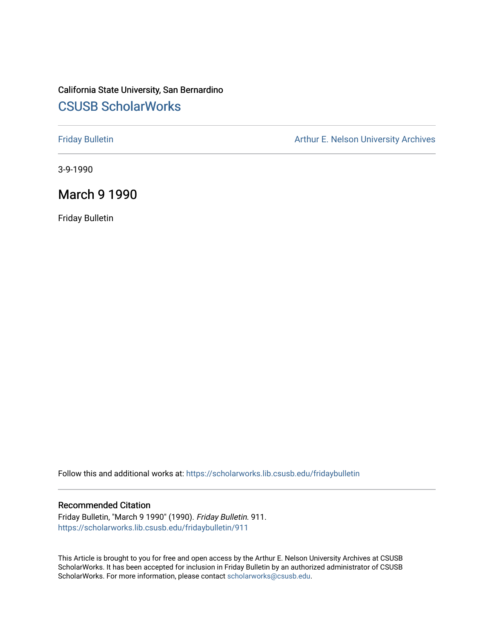# California State University, San Bernardino [CSUSB ScholarWorks](https://scholarworks.lib.csusb.edu/)

[Friday Bulletin](https://scholarworks.lib.csusb.edu/fridaybulletin) **Arthur E. Nelson University Archives** Arthur E. Nelson University Archives

3-9-1990

# March 9 1990

Friday Bulletin

Follow this and additional works at: [https://scholarworks.lib.csusb.edu/fridaybulletin](https://scholarworks.lib.csusb.edu/fridaybulletin?utm_source=scholarworks.lib.csusb.edu%2Ffridaybulletin%2F911&utm_medium=PDF&utm_campaign=PDFCoverPages)

#### Recommended Citation

Friday Bulletin, "March 9 1990" (1990). Friday Bulletin. 911. [https://scholarworks.lib.csusb.edu/fridaybulletin/911](https://scholarworks.lib.csusb.edu/fridaybulletin/911?utm_source=scholarworks.lib.csusb.edu%2Ffridaybulletin%2F911&utm_medium=PDF&utm_campaign=PDFCoverPages)

This Article is brought to you for free and open access by the Arthur E. Nelson University Archives at CSUSB ScholarWorks. It has been accepted for inclusion in Friday Bulletin by an authorized administrator of CSUSB ScholarWorks. For more information, please contact [scholarworks@csusb.edu.](mailto:scholarworks@csusb.edu)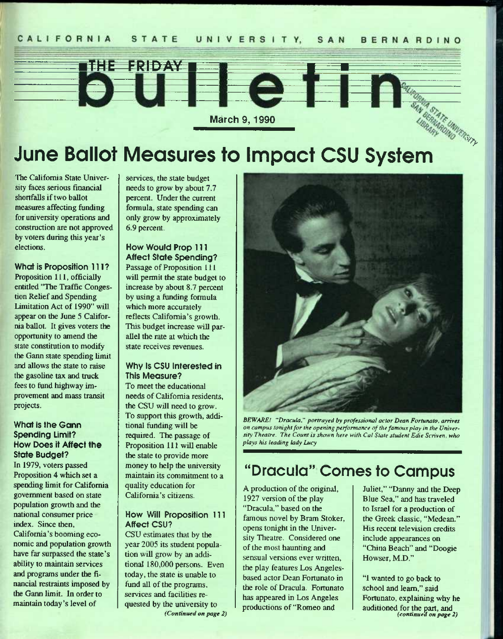

# **June Ballot Measures to Impact CSU System**

The California State University faces serious financial shortfalls if two ballot measures affecting funding for university operations and construction are not approved by voters during this year's elections.

What is Proposition 111? Proposition 111, officially entitled "The Traffic Congestion Relief and Spending Limitation Act of 1990" will appear on the June 5 California ballot. It gives voters the opportunity to amend the state constitution to modify the Gann state spending limit and allows the state to raise the gasoline tax and truck fees to fund highway improvement and mass transit projects.

#### What is the Gann Spending Limit? How Does it Affect the State Budget?

In 1979, voters passed Proposition 4 which set a spending limit for California government based on state population growth and the national consumer price index. Since then, California's booming economic and population growth have far surpassed the state's ability to maintain services and programs under the financial restraints imposed by the Gann limit. In order to maintain today's level of

services, the state budget needs to grow by about 7.7 percent. Under the current formula, state spending can only grow by approximately 6.9 percent.

How Would Prop 111 Affect State Spending? Passage of Proposition 111 will permit the state budget to increase by about 8.7 percent by using a funding formula which more accurately reflects California's growth. This budget increase will parallel the rate at which the state receives revenues.

#### Why Is CSU Interested in This Measure?

To meet the educational needs of California residents, the CSU will need to grow. To support this growth, additional funding will be required. The passage of Proposition 111 will enable the state to provide more money to help the university maintain its commitment to a quality education for California's citizens.

#### How Will Proposition 111 Affect CSU?

CSU estimates that by the year 2005 its student population will grow by an additional 180,000 persons. Even today, the state is unable to fund all of the programs, services and facilities requested by the university to *(Continued on page 2)* 



*BEWARE! "Dracula." portrayed by professional actor Dean Fortunato, arrives on campus tonight for the opening performance of the famous play in the University Theatre. The Count is shown here with Cal State student Edie Scriven. who plays his leading lady Lucy* 

# **"Dracula" Comes to Campus**

A production of the original, 1927 version of the play "Dracula," based on the famous novel by Bram Stoker, opens tonight in the University Theatre. Considered one of the most haunting and sensual versions ever written, the play features Los Angelesbased actor Dean Fortunato in the role of Dracula. Fortunato has appeared in Los Angeles productions of "Romeo and

Juliet," "Danny and the Deep Blue Sea," and has traveled to Israel for a production of the Greek classic, "Medean." His recent television credits include appearances on "China Beach" and "Doogie Howser, M.D."

"1 wanted to go back to school and learn," said Fortunato, explaining why he auditioned for the part, and *(continued on page 2)*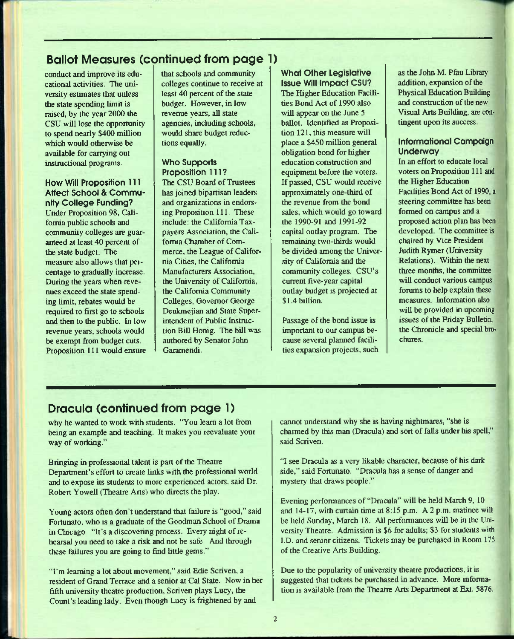# **Ballot Measures (continued from page )**

conduct and improve its educational activities. The university estimates that unless the state spending limit is raised, by the year 2000 the CSU will lose the opportunity to spend nearly \$400 million which would otherwise be available for carrying out instructional programs.

#### How Will Proposition 111 Affect School & Community College Funding?

Under Proposition 98, California public schools and community colleges are guaranteed at least 40 percent of the state budget. The measure also allows that percentage to gradually increase. During the years when revenues exceed the state spending limit, rebates would be required to first go to schools and then to the public. In low revenue years, schools would be exempt from budget cuts. Proposition 111 would ensure that schools and community colleges continue to receive at least 40 percent of the state budget. However, in low revenue years, all state agencies, including schools, would share budget reductions equally.

#### Who Supports Proposition 111?

The CSU Board of Trustees has joined bipartisan leaders and organizations in endorsing Proposition 111. These include: the California Taxpayers Association, the California Chamber of Commerce, the League of California Cities, the California Manufacturers Association, the University of California, the California Community Colleges, Governor George Deukmejian and State Superintendent of Public Instruction Bill Honig. The bill was authored by Senator John Garamendi.

#### What Other Legislative Issue Will Impact CSU?

The Higher Education Facilities Bond Act of 1990 also will appear on the June 5 ballot. Identified as Proposition 121, this measure will place a \$450 million general obligation bond for higher education construction and equipment before the voters. If passed, CSU would receive approximately one-third of the revenue from the bond sales, which would go toward the 1990-91 and 1991-92 capital outlay program. The remaining two-thirds would be divided among the University of California and the community colleges. CSU's current five-year capital outlay budget is projected at \$1.4 billion.

Passage of the bond issue is important to our campus because several planned facilities expansion projects, such as the John M. Pfau Library addition, expansion of the Physical Education Building and construction of the new Visual Arts Building, are contingent upon its success.

#### informational Campaign Underway

In an effort to educate local voters on Proposition 111 and the Higher Education Facilities Bond Act of 1990, a steering committee has been formed on campus and a proposed action plan has been developed. The committee is chaired by Vice President Judith Rymer (University Relations). Within the next three months, the committee will conduct various campus forums to help explain these measures. Information also will be provided in upcoming issues of the Friday Bulletin, the Chronicle and special brochures.

# **Dracula (continued from page 1)**

why he wanted to work with students. "You learn a lot from being an example and teaching. It makes you reevaluate your way of working."

Bringing in professional talent is part of the Theatre Department's effort to create links with the professional world and to expose its students to more experienced actors, said Dr. Robert Yowell (Theatre Arts) who directs the play.

Young actors often don't understand that failure is "good," said Fortunato, who is a graduate of the Goodman School of Drama in Chicago. "It's a discovering process. Every night of rehearsal you need to take a risk and not be safe, And through these failures you are going to find little gems."

"I'm learning a lot about movement," said Edie Scriven, a resident of Grand Terrace and a senior at Cal State. Now in her fifth university theatre production, Scriven plays Lucy, the Count's leading lady. Even though Lucy is fiightened by and

cannot understand why she is having nightmares, "she is charmed by this man (Dracula) and sort of falls under his spell," said Scriven.

"I see Dracula as a very likable character, because of his dark side," said Fortunato. "Dracula has a sense of danger and mystery that draws people."

Evening performances of "Dracula" will be held March 9, 10 and 14-17, with curtain time at 8:15 p.m. A 2 p.m. matinee will be held Sunday, March 18. All performances will be in the University Theatre. Admission is \$6 for adults; \$3 for students with I.D. and senior citizens. Tickets may be purchased in Room 175 of the Creative Arts Building.

Due to the popularity of university theatre productions, it is suggested that tickets be purchased in advance. More information is available from the Theatre Arts Department at Ext. 5876.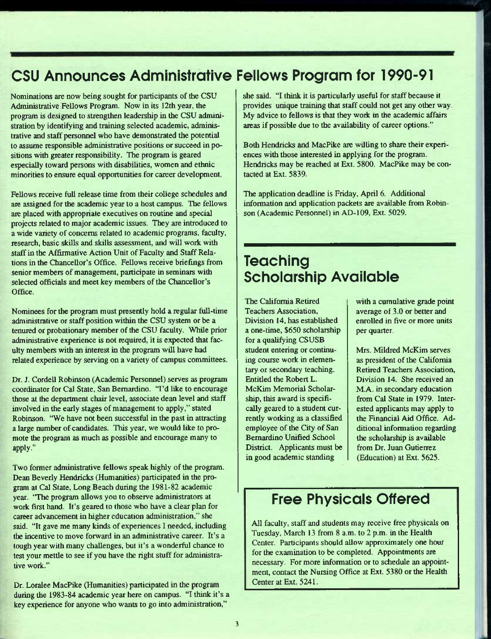# **CSU Announces Administrative Feliows Program for 1990-91**

Nominations are now being sought for participants of the CSU Administrative Fellows Program. Now in its 12th year, the program is designed to strengthen leadership in the CSU administration by identifying and training selected academic, administrative and staff personnel who have demonstrated the potential to assume responsible administrative positions or succeed in positions with greater responsibility. The program is geared especially toward persons with disabilities, women and ethnic minorities to ensure equal opportunities for career development.

Fellows receive full release time from their college schedules and are assigned for the academic year to a host campus. The fellows arc placed with appropriate executives on routine and special projects related to major academic issues. They are introduced to a wide variety of concerns related to academic programs, faculty, research, basic skills and skills assessment, and will work with staff in the Affirmative Action Unit of Faculty and Staff Relations in the Chancellor's Office. Fellows receive briefings from senior members of management, participate in seminars with selected officials and meet key members of the Chancellor's Office.

Nominees for the program must presently hold a regular full-time administrative or staff position within the CSU system or be a tenured or probationary member of the CSU faculty. While prior administrative experience is not required, it is expected that faculty members with an interest in the program will have had related experience by serving on a variety of campus committees.

Dr. J. Cordell Robinson (Academic Personnel) serves as program coordinator for Cal State, San Bernardino. "I'd like to encourage those at the department chair level, associate dean level and staff involved in the early stages of management to apply," stated Robinson. "We have not been successful in the past in attracting a large number of candidates. This year, we would like to promote the program as much as possible and encourage many to apply."

Two former administrative fellows speak highly of the program. Dean Beverly Hendricks (Humanities) participated in the program at Cal State, Long Beach during the 1981-82 academic year. "The program allows you to observe administrators at work first hand. It's geared to those who have a clear plan for career advancement in higher education administration," she said. "It gave me many kinds of experiences I needed, including the incentive to move forward in an administrative career. It's a tough year with many challenges, but it's a wonderful chance to test your mettle to see if you have the right stuff for administrative work."

Dr. Loralee MacPike (Humanities) participated in the program during the 1983-84 academic year here on campus. "I think it's a key experience for anyone who wants to go into administration,"

she said. "I think it is particularly useful for staff because it provides unique training that staff could not get any other way. My advice to fellows is that they work in the academic affairs areas if possible due to the availability of career options."

Both Hendricks and MacPike are willing to share their experiences with those interested in applying for the program. Hendricks may be reached at Ext. 5800. MacPike may be contacted at Ext. 5839.

The application deadline is Friday, April 6. Additional information and application packets are available from Robinson (Academic Personnel) in AD-109, Ext. 5029.

# **Teaching Scholarship Available**

The California Retired Teachers Association, Division 14, has established a one-time, \$650 scholarship for a qualifying CSUSB student entering or continuing course work in elementary or secondary teaching. Entitled the Robert L. McKim Memorial Scholarship, this award is specifically geared to a student currently working as a classified employee of the City of San Bernardino Unified School District. Applicants must be in good academic standing

with a cumulative grade point average of 3.0 or better and enrolled in five or more units per quarter.

Mrs. Mildred McKim serves as president of the California Retired Teachers Association, Division 14. She received an M.A. in secondary education from Cal State in 1979. Interested applicants may apply to the Financial Aid Office. Additional information regarding the scholarship is available from Dr. Juan Gutierrez (Education) at Ext. 5625.

# **Free Physicals Offered**

All faculty, staff and students may receive free physicals on Tuesday, March 13 from 8 a.m. to 2 p.m. in the Health Center. Participants should allow approximately one hour for the examination to be completed. Appointments are necessary. For more information or to schedule an appointment, contact the Nursing Office at Ext. 5380 or the Health Center at Ext. 5241.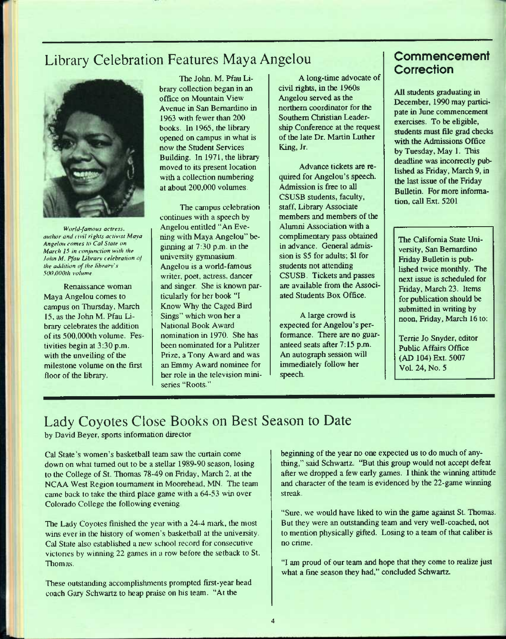# Library Celebration Features Maya Angelou



*World-famous actress, author and ( tvil rights activist Maya Angelou comes to Cal Slate on March 15 in conjunction with the John M. Pfau Library celebration of the addition of the library's SOtl.OOOth volume* 

Renaissance woman Maya Angelou comes to campus on Thursday, March 15, as the John M. Pfau Library celebrates the addition of its 500,000th volume. Festivities begin at 3:30 p.m. with the unveiling of the milestone volume on the first floor of the library.

The John. M. Pfau Library collection began in an office on Mountain View Avenue in San Bernardino in 1963 with fewer than 200 books. In 1965. the library opened on campus in what is now the Student Services Building. In 1971, the library moved to its present location with a collection numbering at about 200,000 volumes.

The campus celebration continues with a speech by Angelou entitled "An Evening with Maya Angelou" beginning at 7:30 p.m. in the university gymnasium. Angelou is a world-famous writer, poet, actress, dancer and singer. She is known particularly for her book "I Know Why the Caged Bird Sings" which won her a National Book Award nomination in 1970. She has been nominated for a Pulitzer Prize, a Tony Award and was an Emmy Award nominee for her role in the television miniseries "Roots"

A long-time advocate of civil rights, in the 1960s Angelou served as the northern coordinator for the Southern Christian Leadership Conference at the request of the late Dr. Martin Luther King, Jr.

Advance tickets are required for Angelou's speech. Admission is free to all CSUSB students, faculty, staff. Library Associate members and members of the Alumni Association with a complimentary pass obtained in advance. General admission is \$5 for adults; \$1 for students not attending CSUSB. Tickets and passes are available from the Associated Students Box Office.

A large crowd is expected for Angelou's performance. There are no guaranteed seats after 7:15 p.m. An autograph session will immediately follow her speech.

# **Commencement Correction**

All students graduating in December, 1990 may participate in June commencement exercises. To be eligible, students must file grad checks with the Admissions Office by Tuesday, May 1. This deadline was incorrectly published as Friday, March 9, in the last issue of the Friday Bulletin. For more information, call Ext. 5201

The California State University, San Bernardino Friday Bulletin is published twice monthly. The next issue is scheduled for Friday, March 23. Items for publication should be submitted in writing by noon, Friday, March 16 to:

Terrie Jo Snyder, editor Public Affairs Office (AD 104) Ext. 5007 Vol. 24, No. 5

# Lady Coyotes Close Books on Best Season to Date by David Beyer, sports information director

Cal State's women's basketball team saw the curtain come down on what turned out to be a stellar 1989-90 season, losing to the College of St. Thomas 78-49 on Friday, March 2. at the NCAA West Region loumament in Moorehead, MN. The team came back to take the third place game with a 64-53 win over Colorado College the following evening

The Lady Coyotes finished the year with a 24-4 mark., the most wins ever in the history of women's basketball at the university. Cal State also established a new school record for consecutive victories by winning 22 games in a row before the setback to St. Thomas.

These outstanding accomplishments prompted first-year head coach Gary Schwartz to heap praise on his team. "At the

beginning of the year no one expected us to do much of anything," said Schwartz. "But this group would not accept defeat after we dropped a few early games. 1 think the winning attitude and character of the team is evidenced by the 22-game winning streak.

"Sure, we would have liked to win the game against St. Thomas. But they were an outstanding team and very well-coached, not to mention physically gifted. Losing to a team of that caliber is no crime.

"1 am proud of our team and hope that they come to realize just what a fine season they had," concluded Schwartz.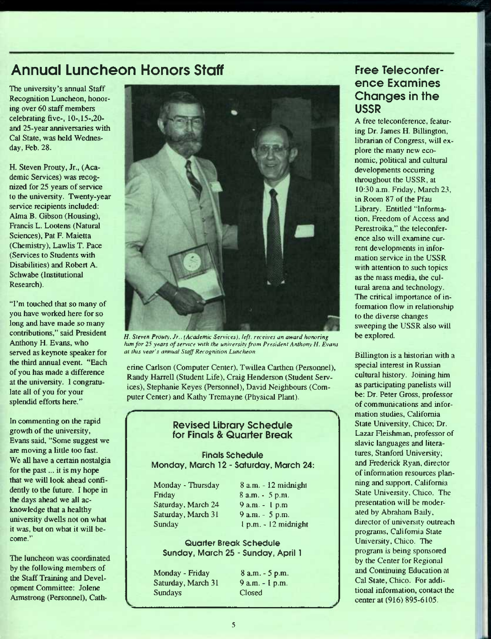# **Annual Luncheon Honors Staff**

The university's annual Staff Recognition Luncheon, honoring over 60 staff members celebrating five-, 10-,15-,20 and 25-year anniversaries with Cal State, was held Wednesday, Feb. 28.

H. Steven Prouty, Jr., (Academic Services) was recognized for 25 years of service to the university. Twenty-year service recipients included: Alma B. Gibson (Housing), Francis L. Lootens (Natural Sciences), Pat F. Maietta (Chemistry), Lawlis T. Pace (Services to Students with Disabilities) and Robert A. Schwabe (Institutional Research).

"I'm touched that so many of you have worked here for so long and have made so many contributions," said President Anthony H. Evans, who served as keynote speaker for the third annual event. "Each of you has made a difference at the university. I congratulate all of you for your splendid efforts here."

In commenting on the rapid growth of the university, Evans said, "Some suggest we are moving a little too fast. We all have a certain nostalgia for the past... it is my hope that we will look ahead confidently to the future. I hope in the days ahead we all acknowledge that a healthy university dwells not on what it was, but on what it will become."

The luncheon was coordinated by the following members of the Staff Training and Development Committee: Jolene Armstrong (Personnel), Cath-



*H. Steven Prouty. Jr.. I Academic Sen'ices). left, receives an award horwring him for 25 years of service with the university from President Anthony H. Evans at this year's annual Staff Recognition Luncheon* 

erine Carlson (Computer Center), Twillea Carthen (Personnel), Randy Harrell (Student Life), Craig Henderson (Student Services), Stephanie Keyes (Personnel), David Neighbours (Computer Center) and Kathy Tremayne (Physical Plant).

#### Revised Library Schedule for Finals & Quarter Break

#### Finals Schedule Monday, March 12 - Saturday, March 24:

| Monday - Thursday            |  |
|------------------------------|--|
| Friday<br>Saturday, March 24 |  |
|                              |  |
| Saturday, March 31           |  |
| Sunday                       |  |
|                              |  |

8 a.m. - 12 midnight 8 a.m. - 5 p.m. 9 a.m. - 1 p.m 9 a.m. - 5 p.m. I p.m. - 12 midnight

Quarter Break Schedule Sunday, March 25 - Sunday, April 1

Monday - Friday Saturday, March 31 Sundays

8 a.m. - 5 p.m. 9 a.m. - I p.m. Closed

# **Free Teleconference Examines Changes in the USSR**

A free teleconference, featuring Dr. James H. Billinglon, librarian of Congress, will explore the many new economic, political and cultural developments occurring throughout the USSR, at 10:30 a.m. Friday, March 23. in Room 87 of the Pfau Library. Entitled "Information, Freedom of Access and Perestroika," the teleconference also will examine current developments in information service in the USSR with attention to such topics as the mass media, the cultural arena and technology. The critical importance of information flow in relationship to the diverse changes sweeping the USSR also will be explored.

Billington is a historian with a special interest in Russian cultural history. Joining him as participating panelists will be: Dr. Peter Gross, professor of communications and information studies, California State University, Chico; Dr. Lazar Fleishman, professor of Slavic languages and literatures, Stanford University; and Frederick Ryan, director of information resources planning and support, California State University, Chico. The presentation will be moderated by Abraham Baily, director of university outreach programs, California Stale University, Chico. The program is being sponsored by the Center for Regional and Continuing Education at Cal State, Chico. For additional information, contact the center at (916) 895-6105.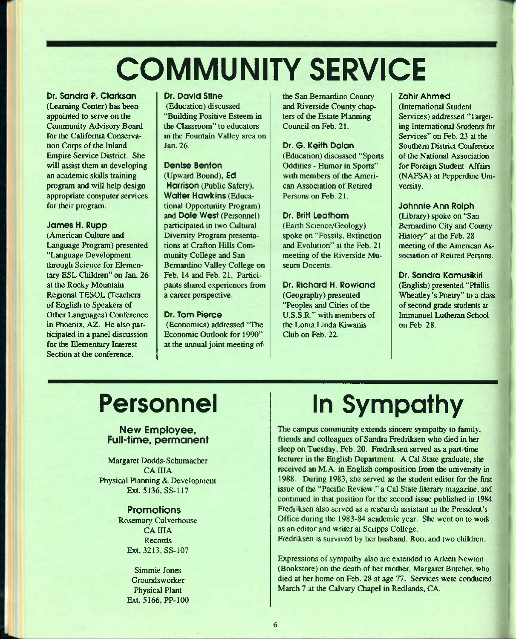# COMMUNITY SERVICE

Dr. Sandra P. Clarkson (Learning Center) has been appointed to serve on the Community Advisory Board for the California Conservation Corps of the Inland Empire Service District. She will assist them in developing an academic skills training program and will help design appropriate computer services for their program.

#### James H. Rupp

(American Culture and Language Program) presented "Language Development through Science for Elementary ESL Children" on Jan. 26 at the Rocky Mountain Regional TESOL (Teachers of English to Speakers of Other Languages) Conference in Phoenix, AZ. He also participated in a panel discussion for the Elementary Interest Section at the conference.

#### Dr. David Stine

(Education) discussed "Building Positive Esteem in the Classroom" to educators in the Fountain Valley area on Jan. 26.

#### Denlse Benton

(Upward Bound), Ed Harrison (Public Safety), Walter Hawkins (Educational Opportunity Program) and Dole West (Personnel) participated in two Cultural Diversity Program presentations at Crafton Hills Community College and San Bernardino Valley College on Feb. 14 and Feb. 21. Participants shared experiences from a career perspective.

#### Dr. Tom Pierce

(Economics) addressed "The Economic Outlook for 1990" at the annual joint meeting of the San Bernardino County and Riverside County chapters of the Estate Planning Council on Feb. 21.

#### Dr. G. Keith Dolon

(Education) discussed "Sports Oddities - Humor in Sports" with members of the American Association of Retired Persons on Feb. 21.

#### Dr. Britt Leatham

(Earth Science/Geology) spoke on "Fossils, Extinction and Evolution" at the Feb. 21 meeting of the Riverside Museum Docents.

Dr. Richard H. Rowland (Geography) presented "Peoples and Cities of the U.S.S.R." with members of the Loma Linda Kiwanis Club on Feb. 22.

#### Zahir Ahmed

(International Student Services) addressed "Targeting International Students for Services" on Feb. 23 at the Southern District Conference of the National Association for Foreign Student Affairs (NAFSA) at Pepperdine University.

#### Johnnie Ann Ralph

(Library) spoke on "San Bernardino City and County History" at the Feb. 28 meeting of the American Association of Retired Persons.

#### Dr. Sandra Kamuslkiri (English) presented "Phillis Wheatley's Poetry" to a class of second grade students at Immanuel Lutheran School on Feb. 28.

# Personnel

#### New Employee, Full-time, permanent

Margaret Dodds-Schumacher **CAIIIA** Physical Planning & Development Ext. 5136, SS-117

#### Promotions

Rosemary Culverhouse CA IIIA **Records** Ext. 3213, SS-107

> Simmie Jones **Groundsworker** Physical Plant Ext. 5166, PP-100

# in Sympathy

The campus community extends sincere sympathy to family, friends and colleagues of Sandra Fredriksen who died in her sleep on Tuesday, Feb. 20. Fredriksen served as a part-time lecturer in the English Department. A Cal State graduate, she received an M.A. in English composition from the university in 1988. During 1983, she served as the student editor for the first issue of the "Pacific Review," a Cal State literary magazine, and continued in that position for the second issue published in 1984. Fredriksen also served as a research assistant in the President's Office during the 1983-84 academic year. She went on to work as an editor and writer at Scripps College.

Fredriksen is survived by her husband, Ron, and two children.

Expressions of sympathy also are extended to Arleen Newton (Bookstore) on the death of her mother, Margaret Butcher, who died at her home on Feb. 28 at age 77. Services were conducted March 7 at the Calvary Chapel in Redlands, CA.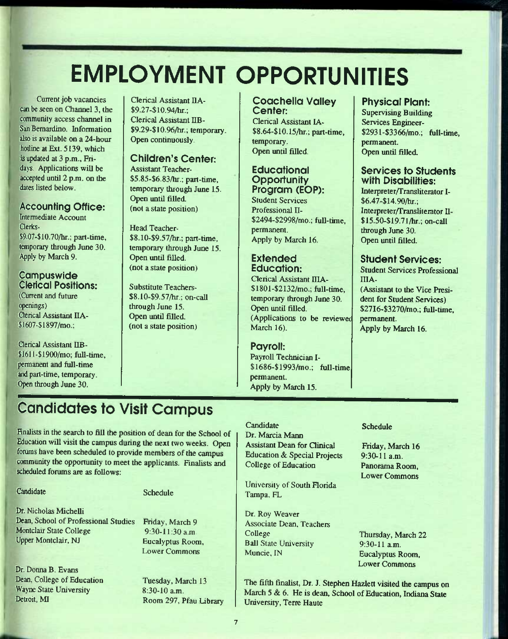# EMPLOYMENT OPPORTUNITIES

Current job vacancies can be seen on Channel 3, the community access channel in San Bernardino. Information also is available on a 24-hour hotline at Ext. 5139, which is updated at 3 p.m., Fridays. Applications will be accepted until 2 p.m. on the dates listed below.

## **Accounting Office:**

Intermediate Account Clerks- \$9.07-\$10.70/hr.; part-time, temporary through June 30. Apply by March 9.

#### **Campuswide** Clerical Positions:

(Current and future openings) Clerical Assistant IIA-\$1607-\$1897/mo.;

Clerical Assistant IIB- \$16U-\$1900/mo; full-time, permanent and ftill-time and part-time, temporary. Open through June 30.

Clerical Assistant IIA-\$9.27-\$10.94/hr.; Clerical Assistant IIB- \$9.29-\$10.96/hr.; temporary. Open continuously.

## Children's Center:

Assistant Teacher- \$5.85-\$6.83/hr.; part-time, temporary through June 15. Open until filled. (not a state position)

Head Teacher- \$8.10-\$9.57/hr.; part-time, temporary through June 15. Open until filled. (not a state position)

Substitute Teachers- \$8.10-\$9.57/hr.; on-caU through June 15. Open until filled. (not a state position)

#### Coochello Valley Center:

Clerical Assistant lA- \$8.64-\$10.15/hr.; part-time, temporary. Open until filled.

#### **Educational Opportunity** Program (EOP): Student Services

Professional II- \$2494-\$2998/mo.; full-time, permanent. Apply by March 16.

#### **Extended** Education:

Clerical Assistant IIIA-\$1801-\$2132/mo.; full-time, temporary through June 30. Open until filled. (Applications to be reviewet March 16).

## Payroll:

Payroll Technician I- \$1686-\$1993/mo.; full-time. permanent. Apply by March 15.

## Physical Plant:

Supervising Building Services Engineer- \$2931-\$3366/mo.; full-time, permanent. Open until filled.

#### Services to Students with Disabilities:

Interpreter/Transliterator I- \$6.47-\$14.90/hr.; Interpreter/Transliterator 11- \$15.50-\$19.71/hr.; on-call through June 30. Open until filled.

## Student Services:

Student Services Professional IIIA-

(Assistant to the Vice President for Student Services) \$27I6-\$3270/mo.; full-time, permanent. Apply by March 16.

# **Candidates to Visit Campus**

finalists in the search to fill the position of dean for the School of Education will visit the campus during the next two weeks. Open forums have been scheduled to provide members of the campus community the opportunity to meet the applicants. Finalists and scheduled forums are as follows:

#### **Candidate**

#### Schedule

Dr. Nicholas Michelli Dean, School of Professional Studies Montclair State College Upper Montclair, NJ

Dr. Donna B. Evans Dean, College of Education Wayne State University Detroit, MI

Friday, March 9 9:30-11:30 a.m Eucalyptus Room, Lower Commons

Tuesday, March 13 8:30-10 a.m. Room 297, Pfau Library

#### **Candidate** Dr. Marcia Mann Assistant Dean for Qinical Education & Special Projects College of Education

University of South Florida Tampa, FL

Dr. Roy Weaver Associate Dean. Teachers College Ball State University Muncie, IN

#### Schedule

Friday, March 16 9:30-11 a.m. Panorama Room, Lower Commons

Thursday, March 22 9:30-11 a.m. Eucalyptus Room, Lower Commons

The fifth finalist. Dr. J. Stephen Hazlett visited the campus on March 5 & 6. He is dean. School of Education, Indiana State University, Tene Haute